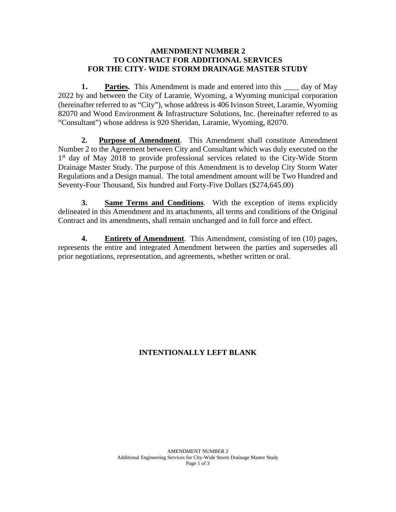## **AMENDMENT NUMBER 2 TO CONTRACT FOR ADDITIONAL SERVICES FOR THE CITY- WIDE STORM DRAINAGE MASTER STUDY**

**1. Parties.** This Amendment is made and entered into this day of May 2022 by and between the City of Laramie, Wyoming, a Wyoming municipal corporation (hereinafter referred to as "City"), whose address is 406 Ivinson Street, Laramie, Wyoming 82070 and Wood Environment & Infrastructure Solutions, Inc. (hereinafter referred to as "Consultant") whose address is 920 Sheridan, Laramie, Wyoming, 82070.

**2. Purpose of Amendment**. This Amendment shall constitute Amendment Number 2 to the Agreement between City and Consultant which was duly executed on the 1<sup>st</sup> day of May 2018 to provide professional services related to the City-Wide Storm Drainage Master Study. The purpose of this Amendment is to develop City Storm Water Regulations and a Design manual. The total amendment amount will be Two Hundred and Seventy-Four Thousand, Six hundred and Forty-Five Dollars (\$274,645.00)

**3. Same Terms and Conditions**. With the exception of items explicitly delineated in this Amendment and its attachments, all terms and conditions of the Original Contract and its amendments, shall remain unchanged and in full force and effect.

**4. Entirety of Amendment**. This Amendment, consisting of ten (10) pages, represents the entire and integrated Amendment between the parties and supersedes all prior negotiations, representation, and agreements, whether written or oral.

## **INTENTIONALLY LEFT BLANK**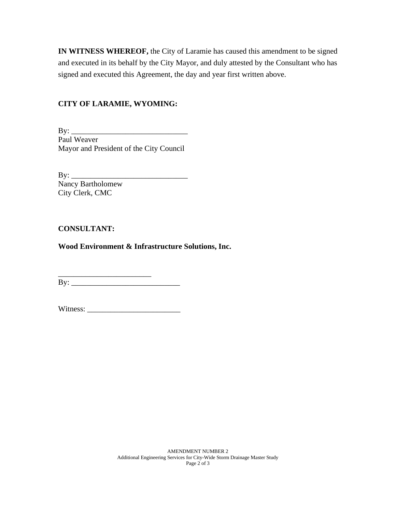**IN WITNESS WHEREOF,** the City of Laramie has caused this amendment to be signed and executed in its behalf by the City Mayor, and duly attested by the Consultant who has signed and executed this Agreement, the day and year first written above.

## **CITY OF LARAMIE, WYOMING:**

By: \_\_\_\_\_\_\_\_\_\_\_\_\_\_\_\_\_\_\_\_\_\_\_\_\_\_\_\_\_\_ Paul Weaver Mayor and President of the City Council

 $\mathbf{By:}$ Nancy Bartholomew City Clerk, CMC

## **CONSULTANT:**

**Wood Environment & Infrastructure Solutions, Inc.**

\_\_\_\_\_\_\_\_\_\_\_\_\_\_\_\_\_\_\_\_\_\_\_\_  $\mathbf{B} \mathbf{y}$ :

Witness: \_\_\_\_\_\_\_\_\_\_\_\_\_\_\_\_\_\_\_\_\_\_\_\_